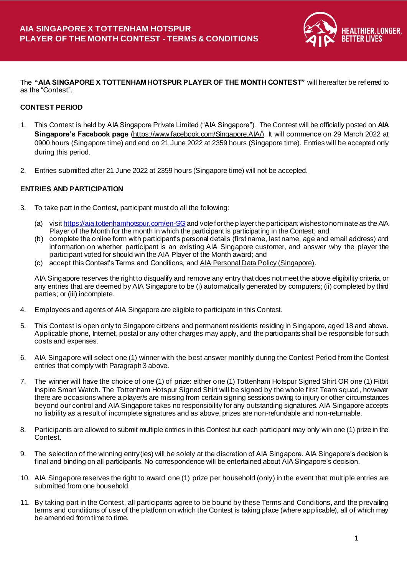

The **"AIA SINGAPORE X TOTTENHAM HOTSPUR PLAYER OF THE MONTH CONTEST"** will hereafter be referred to as the "Contest".

### **CONTEST PERIOD**

- 1. This Contest is held by AIA Singapore Private Limited ("AIA Singapore"). The Contest will be officially posted on **AIA Singapore's Facebook page** [\(https://www.facebook.com/Singapore.AIA/\)](https://www.facebook.com/Singapore.AIA/)). It will commence on 29 March 2022 at 0900 hours (Singapore time) and end on 21 June 2022 at 2359 hours (Singapore time). Entries will be accepted only during this period.
- 2. Entries submitted after 21 June 2022 at 2359 hours (Singapore time) will not be accepted.

### **ENTRIES AND PARTICIPATION**

- 3. To take part in the Contest, participant must do all the following:
	- (a) visi[t https://aia.tottenhamhotspur.com/en-SG](https://urldefense.com/v3/__https:/aia.tottenhamhotspur.com/en-SG__;!!G1i-!b78lnHGpvuPg2MH7owJENUfcvOlAmOuW09TxorLxmb_85_s_AVUcgE5etIuP9gqJYA$) and vote for the player the participant wishes to nominate as the AIA Player of the Month for the month in which the participant is participating in the Contest; and
	- (b) complete the online form with participant's personal details (first name, last name, age and email address) and information on whether participant is an existing AIA Singapore customer, and answer why the player the participant voted for should win the AIA Player of the Month award; and
	- (c) accept this Contest's Terms and Conditions, an[d AIA Personal Data Policy \(Singapore\)](https://www.aia.com.sg/en/index/personal-data-policy.html).

AIA Singapore reserves the right to disqualify and remove any entry that does not meet the above eligibility criteria, or any entries that are deemed by AIA Singapore to be (i) automatically generated by computers; (ii) completed by third parties; or (iii) incomplete.

- 4. Employees and agents of AIA Singapore are eligible to participate in this Contest.
- 5. This Contest is open only to Singapore citizens and permanent residents residing in Singapore, aged 18 and above. Applicable phone, Internet, postal or any other charges may apply, and the participants shall b e responsible for such costs and expenses.
- 6. AIA Singapore will select one (1) winner with the best answer monthly during the Contest Period from the Contest entries that comply with Paragraph 3 above.
- 7. The winner will have the choice of one (1) of prize: either one (1) Tottenham Hotspur Signed Shirt OR one (1) Fitbit Inspire Smart Watch. The Tottenham Hotspur Signed Shirt will be signed by the whole first Team squad, however there are occasions where a player/s are missing from certain signing sessions owing to injury or other circumstances beyond our control and AIA Singapore takes no responsibility for any outstanding signatures. AIA Singapore accepts no liability as a result of incomplete signatures and as above, prizes are non-refundable and non-returnable.
- 8. Participants are allowed to submit multiple entries in this Contest but each participant may only win one (1) prize in the Contest.
- 9. The selection of the winning entry(ies) will be solely at the discretion of AIA Singapore. AIA Singapore's decision is final and binding on all participants. No correspondence will be entertained about AIA Singapore's decision.
- 10. AIA Singapore reserves the right to award one (1) prize per household (only) in the event that multiple entries are submitted from one household.
- 11. By taking part in the Contest, all participants agree to be bound by these Terms and Conditions, and the prevailing terms and conditions of use of the platform on which the Contest is taking place (where applicable), all of which may be amended from time to time.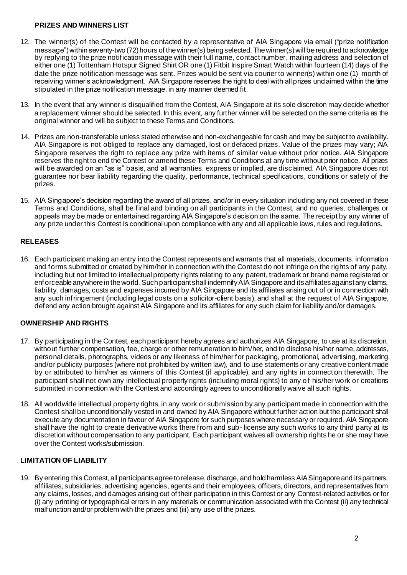#### **PRIZES AND WINNERS LIST**

- 12. The winner(s) of the Contest will be contacted by a representative of AIA Singapore via email ("prize notification message") within seventy-two (72) hours of the winner(s) being selected. The winner(s) will be required to acknowledge by replying to the prize notification message with their full name, contact number, mailing address and selection of either one (1) Tottenham Hotspur Signed Shirt OR one (1) Fitbit Inspire Smart Watch within fourteen (14) days of the date the prize notification message was sent. Prizes would be sent via courier to winner(s) within one (1) month of receiving winner's acknowledgment. AIA Singapore reserves the right to deal with all prizes unclaimed within the time stipulated in the prize notification message, in any manner deemed fit.
- 13. In the event that any winner is disqualified from the Contest, AIA Singapore at its sole discretion may decide whether a replacement winner should be selected. In this event, any further winner will be selected on the same criteria as the original winner and will be subject to these Terms and Conditions.
- 14. Prizes are non-transferable unless stated otherwise and non-exchangeable for cash and may be subject to availability. AIA Singapore is not obliged to replace any damaged, lost or defaced prizes. Value of the prizes may vary; AIA Singapore reserves the right to replace any prize with items of similar value without prior notice. AIA Singapore reserves the right to end the Contest or amend these Terms and Conditions at any time without prior notice. All prizes will be awarded on an "as is" basis, and all warranties, express or implied, are disclaimed. AIA Singapore does not guarantee nor bear liability regarding the quality, performance, technical specifications, conditions or safety of the prizes.
- 15. AIA Singapore's decision regarding the award of all prizes, and/or in every situation including any not covered in these Terms and Conditions, shall be final and binding on all participants in the Contest, and no queries, challenges or appeals may be made or entertained regarding AIA Singapore's decision on the same. The receipt by any winner of any prize under this Contest is conditional upon compliance with any and all applicable laws, rules and regulations.

# **RELEASES**

16. Each participant making an entry into the Contest represents and warrants that all materials, documents, information and forms submitted or created by him/her in connection with the Contest do not infringe on the rights of any party, including but not limited to intellectual property rights relating to any patent, trademark or brand name registered or enforceable anywhere in the world. Such participant shall indemnify AIA Singapore and its affiliates against any claims, liability, damages, costs and expenses incurred by AIA Singapore and its affiliates arising out of or in connection with any such infringement (including legal costs on a solicitor-client basis), and shall at the request of AIA Singapore, defend any action brought against AIA Singapore and its affiliates for any such claim for liability and/or damages.

# **OWNERSHIP AND RIGHTS**

- 17. By participating in the Contest, each participant hereby agrees and authorizes AIA Singapore, to use at its discretion, without further compensation, fee, charge or other remuneration to him/her, and to disclose his/her name, addresses, personal details, photographs, videos or any likeness of him/her for packaging, promotional, advertising, marketing and/or publicity purposes (where not prohibited by written law), and to use statements or any creative content made by or attributed to him/her as winners of this Contest (if applicable), and any rights in connection therewith. The participant shall not own any intellectual property rights (including moral rights) to any of his/her work or creations submitted in connection with the Contest and accordingly agrees to unconditionally waive all such rights.
- 18. All worldwide intellectual property rights, in any work or submission by any participant made in connection with the Contest shall be unconditionally vested in and owned by AIA Singapore without further action but the participant shall execute any documentation in favour of AIA Singapore for such purposes where necessary or required. AIA Singapore shall have the right to create derivative works there from and sub- license any such works to any third party at its discretion without compensation to any participant. Each participant waives all ownership rights he or she may have over the Contest works/submission.

# **LIMITATION OF LIABILITY**

19. By entering this Contest, all participants agree to release, discharge, and hold harmless AIA Singapore and its partners, affiliates, subsidiaries, advertising agencies, agents and their employees, officers, directors, and representatives from any claims, losses, and damages arising out of their participation in this Contest or any Contest-related activities or for (i) any printing or typographical errors in any materials or communication associated with the Contest (ii) any technical malfunction and/or problem with the prizes and (iii) any use of the prizes.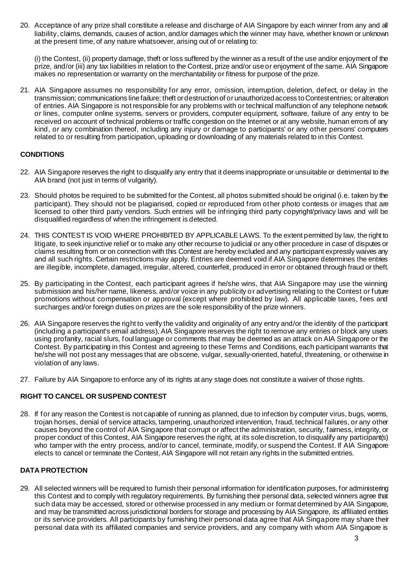20. Acceptance of any prize shall constitute a release and discharge of AIA Singapore by each winner from any and all liability, claims, demands, causes of action, and/or damages which the winner may have, whether known or unknown at the present time, of any nature whatsoever, arising out of or relating to:

(i) the Contest, (ii) property damage, theft or loss suffered by the winner as a result of the use and/or enjoyment of the prize, and/or (iii) any tax liabilities in relation to the Contest, prize and/or use or enjoyment of the same. AIA Singapore makes no representation or warranty on the merchantability or fitness for purpose of the prize.

21. AIA Singapore assumes no responsibility for any error, omission, interruption, deletion, defect, or delay in the transmission; communications line failure; theft or destruction of or unauthorized access to Contest entries; or alteration of entries. AIA Singapore is not responsible for any problems with or technical malfunction of any telephone network or lines, computer online systems, servers or providers, computer equipment, software, failure of any entry to be received on account of technical problems or traffic congestion on the Internet or at any website, human errors of any kind, or any combination thereof, including any injury or damage to participants' or any other persons' computers related to or resulting from participation, uploading or downloading of any materials related to in this Contest.

### **CONDITIONS**

- 22. AIA Singapore reserves the right to disqualify any entry that it deems inappropriate or unsuitable or detrimental to the AIA brand (not just in terms of vulgarity).
- 23. Should photos be required to be submitted for the Contest, all photos submitted should be original (i.e. taken by the participant). They should not be plagiarised, copied or reproduced from other photo contests or images that are licensed to other third party vendors. Such entries will be infringing third party copyright/privacy laws and will be disqualified regardless of when the infringement is detected.
- 24. THIS CONTEST IS VOID WHERE PROHIBITED BY APPLICABLE LAWS. To the extent permitted by law, the right to litigate, to seek injunctive relief or to make any other recourse to judicial or any other procedure in case of disputes or claims resulting from or on connection with this Contest are hereby excluded and any participant expressly waives any and all such rights. Certain restrictions may apply. Entries are deemed void if AIA Singapore determines the entries are illegible, incomplete, damaged, irregular, altered, counterfeit, produced in error or obtained through fraud or theft.
- 25. By participating in the Contest, each participant agrees if he/she wins, that AIA Singapore may use the winning submission and his/her name, likeness, and/or voice in any publicity or advertising relating to the Contest or future promotions without compensation or approval (except where prohibited by law). All applicable taxes, fees and surcharges and/or foreign duties on prizes are the sole responsibility of the prize winners.
- 26. AIA Singapore reserves the right to verify the validity and originality of any entry and/or the identity of the participant (including a participant's email address), AIA Singapore reserves the right to remove any entries or block any users using profanity, racial slurs, foul language or comments that may be deemed as an attack on AIA Singapore or the Contest. By participating in this Contest and agreeing to these Terms and Conditions, each participant warrants that he/she will not post any messages that are obscene, vulgar, sexually-oriented, hateful, threatening, or otherwise in violation of any laws.
- 27. Failure by AIA Singapore to enforce any of its rights at any stage does not constitute a waiver of those rights.

# **RIGHT TO CANCEL OR SUSPEND CONTEST**

28. If for any reason the Contest is not capable of running as planned, due to infection by computer virus, bugs, worms, trojan horses, denial of service attacks, tampering, unauthorized intervention, fraud, technical failures, or any other causes beyond the control of AIA Singapore that corrupt or affect the administration, security, fairness, integrity, or proper conduct of this Contest, AIA Singapore reserves the right, at its sole discretion, to disqualify any participant(s) who tamper with the entry process, and/or to cancel, terminate, modify, or suspend the Contest. If AIA Singapore elects to cancel or terminate the Contest, AIA Singapore will not retain any rights in the submitted entries.

#### **DATA PROTECTION**

29. All selected winners will be required to furnish their personal information for identification purposes, for administering this Contest and to comply with regulatory requirements. By furnishing their personal data, selected winners agree that such data may be accessed, stored or otherwise processed in any medium or format determined by AIA Singapore, and may be transmitted across jurisdictional borders for storage and processing by AIA Singapore, its affiliated entities or its service providers. All participants by furnishing their personal data agree that AIA Singapore may share their personal data with its affiliated companies and service providers, and any company with whom AIA Singapore is